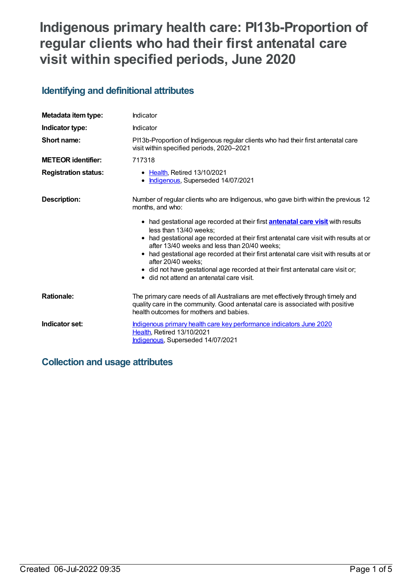# **Indigenous primary health care: PI13b-Proportion of regular clients who had their first antenatal care visit within specified periods, June 2020**

# **Identifying and definitional attributes**

| Metadata item type:         | Indicator                                                                                                                                                                                                                                                 |
|-----------------------------|-----------------------------------------------------------------------------------------------------------------------------------------------------------------------------------------------------------------------------------------------------------|
| Indicator type:             | Indicator                                                                                                                                                                                                                                                 |
| Short name:                 | PI13b-Proportion of Indigenous regular clients who had their first antenatal care<br>visit within specified periods, 2020–2021                                                                                                                            |
| <b>METEOR identifier:</b>   | 717318                                                                                                                                                                                                                                                    |
| <b>Registration status:</b> | • Health, Retired 13/10/2021<br>• Indigenous, Superseded 14/07/2021                                                                                                                                                                                       |
| <b>Description:</b>         | Number of regular clients who are Indigenous, who gave birth within the previous 12<br>months, and who:                                                                                                                                                   |
|                             | • had gestational age recorded at their first <b>antenatal care visit</b> with results<br>less than 13/40 weeks:<br>• had gestational age recorded at their first antenatal care visit with results at or<br>after 13/40 weeks and less than 20/40 weeks; |
|                             | • had gestational age recorded at their first antenatal care visit with results at or<br>after 20/40 weeks;<br>• did not have gestational age recorded at their first antenatal care visit or;<br>• did not attend an antenatal care visit.               |
| <b>Rationale:</b>           | The primary care needs of all Australians are met effectively through timely and<br>quality care in the community. Good antenatal care is associated with positive<br>health outcomes for mothers and babies.                                             |
| Indicator set:              | Indigenous primary health care key performance indicators June 2020<br>Health, Retired 13/10/2021<br>Indigenous, Superseded 14/07/2021                                                                                                                    |

# **Collection and usage attributes**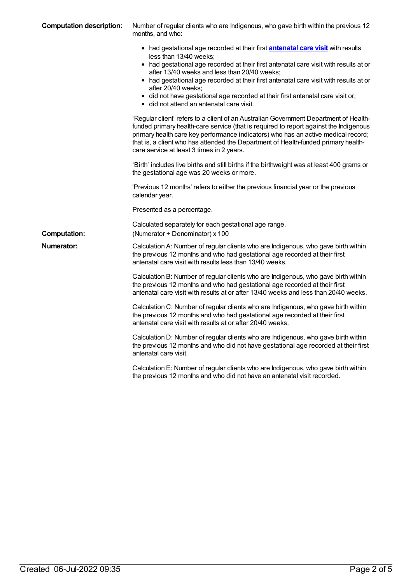| <b>Computation description:</b> | Number of regular clients who are Indigenous, who gave birth within the previous 12<br>months, and who:                                                                                                                                                                                                                                                                                                                                                                                                                                                                                           |  |
|---------------------------------|---------------------------------------------------------------------------------------------------------------------------------------------------------------------------------------------------------------------------------------------------------------------------------------------------------------------------------------------------------------------------------------------------------------------------------------------------------------------------------------------------------------------------------------------------------------------------------------------------|--|
|                                 | • had gestational age recorded at their first <b>antenatal care visit</b> with results<br>less than 13/40 weeks;<br>• had gestational age recorded at their first antenatal care visit with results at or<br>after 13/40 weeks and less than 20/40 weeks;<br>• had gestational age recorded at their first antenatal care visit with results at or<br>after 20/40 weeks;<br>• did not have gestational age recorded at their first antenatal care visit or;<br>• did not attend an antenatal care visit.<br>'Regular client' refers to a client of an Australian Government Department of Health- |  |
|                                 | funded primary health-care service (that is required to report against the Indigenous<br>primary health care key performance indicators) who has an active medical record;<br>that is, a client who has attended the Department of Health-funded primary health-<br>care service at least 3 times in 2 years.                                                                                                                                                                                                                                                                                     |  |
|                                 | 'Birth' includes live births and still births if the birthweight was at least 400 grams or<br>the gestational age was 20 weeks or more.                                                                                                                                                                                                                                                                                                                                                                                                                                                           |  |
|                                 | 'Previous 12 months' refers to either the previous financial year or the previous<br>calendar year.                                                                                                                                                                                                                                                                                                                                                                                                                                                                                               |  |
|                                 | Presented as a percentage.                                                                                                                                                                                                                                                                                                                                                                                                                                                                                                                                                                        |  |
| <b>Computation:</b>             | Calculated separately for each gestational age range.<br>(Numerator ÷ Denominator) x 100                                                                                                                                                                                                                                                                                                                                                                                                                                                                                                          |  |
| <b>Numerator:</b>               | Calculation A: Number of regular clients who are Indigenous, who gave birth within<br>the previous 12 months and who had gestational age recorded at their first<br>antenatal care visit with results less than 13/40 weeks.                                                                                                                                                                                                                                                                                                                                                                      |  |
|                                 | Calculation B: Number of regular clients who are Indigenous, who gave birth within<br>the previous 12 months and who had gestational age recorded at their first<br>antenatal care visit with results at or after 13/40 weeks and less than 20/40 weeks.                                                                                                                                                                                                                                                                                                                                          |  |
|                                 | Calculation C: Number of regular clients who are Indigenous, who gave birth within<br>the previous 12 months and who had gestational age recorded at their first<br>antenatal care visit with results at or after 20/40 weeks.                                                                                                                                                                                                                                                                                                                                                                    |  |
|                                 | Calculation D: Number of regular clients who are Indigenous, who gave birth within<br>the previous 12 months and who did not have gestational age recorded at their first<br>antenatal care visit.                                                                                                                                                                                                                                                                                                                                                                                                |  |
|                                 | Calculation E: Number of regular clients who are Indigenous, who gave birth within<br>the previous 12 months and who did not have an antenatal visit recorded.                                                                                                                                                                                                                                                                                                                                                                                                                                    |  |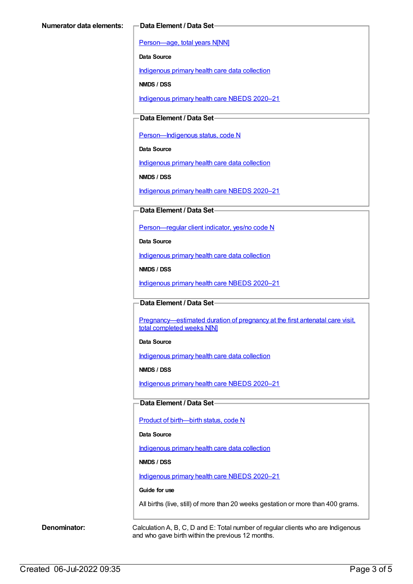[Person—age,](https://meteor.aihw.gov.au/content/303794) total years N[NN]

**Data Source**

[Indigenous](https://meteor.aihw.gov.au/content/430643) primary health care data collection

**NMDS / DSS**

[Indigenous](https://meteor.aihw.gov.au/content/715320) primary health care NBEDS 2020–21

## **Data Element / Data Set**

Person-Indigenous status, code N

**Data Source**

[Indigenous](https://meteor.aihw.gov.au/content/430643) primary health care data collection

**NMDS / DSS**

[Indigenous](https://meteor.aihw.gov.au/content/715320) primary health care NBEDS 2020–21

**Data Element / Data Set**

[Person—regular](https://meteor.aihw.gov.au/content/686291) client indicator, yes/no code N

**Data Source**

[Indigenous](https://meteor.aihw.gov.au/content/430643) primary health care data collection

**NMDS / DSS**

[Indigenous](https://meteor.aihw.gov.au/content/715320) primary health care NBEDS 2020–21

**Data Element / Data Set**

[Pregnancy—estimated](https://meteor.aihw.gov.au/content/695410) duration of pregnancy at the first antenatal care visit, total completed weeks N[N]

**Data Source**

[Indigenous](https://meteor.aihw.gov.au/content/430643) primary health care data collection

**NMDS / DSS**

[Indigenous](https://meteor.aihw.gov.au/content/715320) primary health care NBEDS 2020–21

### **Data Element / Data Set**

Product of [birth—birth](https://meteor.aihw.gov.au/content/695437) status, code N

#### **Data Source**

[Indigenous](https://meteor.aihw.gov.au/content/430643) primary health care data collection

#### **NMDS / DSS**

[Indigenous](https://meteor.aihw.gov.au/content/715320) primary health care NBEDS 2020–21

#### **Guide for use**

All births (live, still) of more than 20 weeks gestation or more than 400 grams.

**Denominator:** Calculation A, B, C, D and E: Total number of regular clients who are Indigenous and who gave birth within the previous 12 months.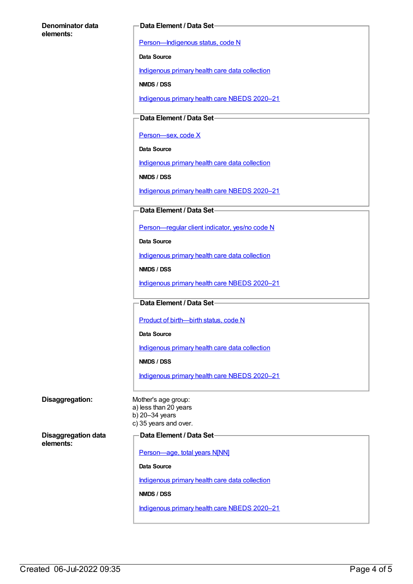#### **Denominator data elements:**

#### **Data Element / Data Set**

[Person—Indigenous](https://meteor.aihw.gov.au/content/602543) status, code N

**Data Source**

[Indigenous](https://meteor.aihw.gov.au/content/430643) primary health care data collection

**NMDS / DSS**

[Indigenous](https://meteor.aihw.gov.au/content/715320) primary health care NBEDS 2020–21

**Data Element / Data Set**

Person-sex, code X

**Data Source**

[Indigenous](https://meteor.aihw.gov.au/content/430643) primary health care data collection

**NMDS / DSS**

[Indigenous](https://meteor.aihw.gov.au/content/715320) primary health care NBEDS 2020–21

### **Data Element / Data Set**

[Person—regular](https://meteor.aihw.gov.au/content/686291) client indicator, yes/no code N

**Data Source**

[Indigenous](https://meteor.aihw.gov.au/content/430643) primary health care data collection

**NMDS / DSS**

[Indigenous](https://meteor.aihw.gov.au/content/715320) primary health care NBEDS 2020–21

#### **Data Element / Data Set**

Product of [birth—birth](https://meteor.aihw.gov.au/content/695437) status, code N

**Data Source**

[Indigenous](https://meteor.aihw.gov.au/content/430643) primary health care data collection

**NMDS / DSS**

[Indigenous](https://meteor.aihw.gov.au/content/715320) primary health care NBEDS 2020–21

#### **Disaggregation:** Mother's age group:

a) less than 20 years b) 20–34 years c) 35 years and over.

**Disaggregation data elements:**

#### **Data Element / Data Set**

[Person—age,](https://meteor.aihw.gov.au/content/303794) total years N[NN]

**Data Source**

[Indigenous](https://meteor.aihw.gov.au/content/430643) primary health care data collection

**NMDS / DSS**

[Indigenous](https://meteor.aihw.gov.au/content/715320) primary health care NBEDS 2020–21